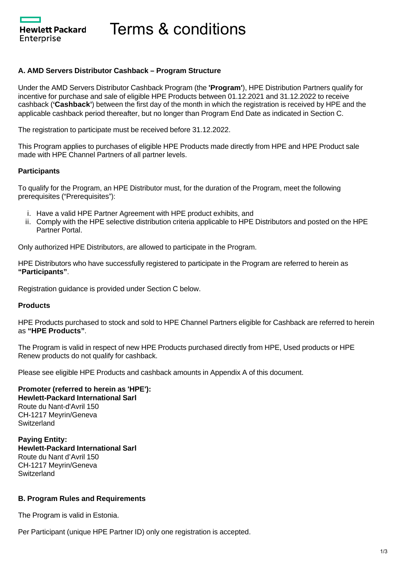Hewlett Packard Enterprise

Terms & conditions

### **A. AMD Servers Distributor Cashback – Program Structure**

Under the AMD Servers Distributor Cashback Program (the **'Program'**), HPE Distribution Partners qualify for incentive for purchase and sale of eligible HPE Products between 01.12.2021 and 31.12.2022 to receive cashback (**'Cashback'**) between the first day of the month in which the registration is received by HPE and the applicable cashback period thereafter, but no longer than Program End Date as indicated in Section C.

The registration to participate must be received before 31.12.2022.

This Program applies to purchases of eligible HPE Products made directly from HPE and HPE Product sale made with HPE Channel Partners of all partner levels.

### **Participants**

To qualify for the Program, an HPE Distributor must, for the duration of the Program, meet the following prerequisites ("Prerequisites"):

- i. Have a valid HPE Partner Agreement with HPE product exhibits, and
- ii. Comply with the HPE selective distribution criteria applicable to HPE Distributors and posted on the HPE Partner Portal.

Only authorized HPE Distributors, are allowed to participate in the Program.

HPE Distributors who have successfully registered to participate in the Program are referred to herein as **"Participants"**.

Registration guidance is provided under Section C below.

### **Products**

HPE Products purchased to stock and sold to HPE Channel Partners eligible for Cashback are referred to herein as **"HPE Products"**.

The Program is valid in respect of new HPE Products purchased directly from HPE, Used products or HPE Renew products do not qualify for cashback.

Please see eligible HPE Products and cashback amounts in Appendix A of this document.

### **Promoter (referred to herein as 'HPE'): Hewlett-Packard International Sarl** Route du Nant-d'Avril 150 CH-1217 Meyrin/Geneva **Switzerland**

**Paying Entity: Hewlett-Packard International Sarl** Route du Nant d'Avril 150 CH-1217 Meyrin/Geneva **Switzerland** 

## **B. Program Rules and Requirements**

The Program is valid in Estonia.

Per Participant (unique HPE Partner ID) only one registration is accepted.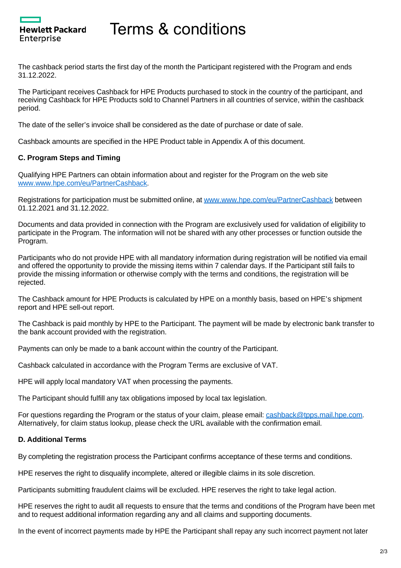# Terms & conditions

The cashback period starts the first day of the month the Participant registered with the Program and ends 31.12.2022.

The Participant receives Cashback for HPE Products purchased to stock in the country of the participant, and receiving Cashback for HPE Products sold to Channel Partners in all countries of service, within the cashback period.

The date of the seller's invoice shall be considered as the date of purchase or date of sale.

Cashback amounts are specified in the HPE Product table in Appendix A of this document.

## **C. Program Steps and Timing**

Hewlett Packard

Enterprise

Qualifying HPE Partners can obtain information about and register for the Program on the web site [www.www.hpe.com/eu/PartnerCashback](https://www.hpe.com/eu/PartnerCashback).

Registrations for participation must be submitted online, at [www.www.hpe.com/eu/PartnerCashback](https://www.hpe.com/eu/PartnerCashback) between 01.12.2021 and 31.12.2022.

Documents and data provided in connection with the Program are exclusively used for validation of eligibility to participate in the Program. The information will not be shared with any other processes or function outside the Program.

Participants who do not provide HPE with all mandatory information during registration will be notified via email and offered the opportunity to provide the missing items within 7 calendar days. If the Participant still fails to provide the missing information or otherwise comply with the terms and conditions, the registration will be rejected.

The Cashback amount for HPE Products is calculated by HPE on a monthly basis, based on HPE's shipment report and HPE sell-out report.

The Cashback is paid monthly by HPE to the Participant. The payment will be made by electronic bank transfer to the bank account provided with the registration.

Payments can only be made to a bank account within the country of the Participant.

Cashback calculated in accordance with the Program Terms are exclusive of VAT.

HPE will apply local mandatory VAT when processing the payments.

The Participant should fulfill any tax obligations imposed by local tax legislation.

For questions regarding the Program or the status of your claim, please email: [cashback@tpps.mail.hpe.com.](mailto:cashback@tpps.mail.hpe.com) Alternatively, for claim status lookup, please check the URL available with the confirmation email.

### **D. Additional Terms**

By completing the registration process the Participant confirms acceptance of these terms and conditions.

HPE reserves the right to disqualify incomplete, altered or illegible claims in its sole discretion.

Participants submitting fraudulent claims will be excluded. HPE reserves the right to take legal action.

HPE reserves the right to audit all requests to ensure that the terms and conditions of the Program have been met and to request additional information regarding any and all claims and supporting documents.

In the event of incorrect payments made by HPE the Participant shall repay any such incorrect payment not later